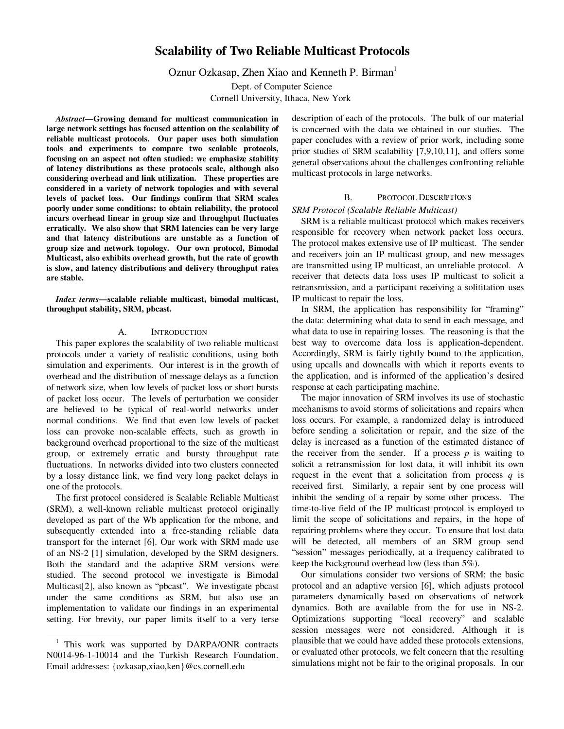# **Scalability of Two Reliable Multicast Protocols**

Oznur Ozkasap, Zhen Xiao and Kenneth P. Birman<sup>1</sup>

Dept. of Computer Science Cornell University, Ithaca, New York

*Abstract***—Growing demand for multicast communication in large network settings has focused attention on the scalability of reliable multicast protocols. Our paper uses both simulation tools and experiments to compare two scalable protocols, focusing on an aspect not often studied: we emphasize stability of latency distributions as these protocols scale, although also considering overhead and link utilization. These properties are considered in a variety of network topologies and with several levels of packet loss. Our findings confirm that SRM scales poorly under some conditions: to obtain reliability, the protocol incurs overhead linear in group size and throughput fluctuates erratically. We also show that SRM latencies can be very large and that latency distributions are unstable as a function of group size and network topology. Our own protocol, Bimodal Multicast, also exhibits overhead growth, but the rate of growth is slow, and latency distributions and delivery throughput rates are stable.**

*Index terms***—scalable reliable multicast, bimodal multicast, throughput stability, SRM, pbcast.**

## A. INTRODUCTION

This paper explores the scalability of two reliable multicast protocols under a variety of realistic conditions, using both simulation and experiments. Our interest is in the growth of overhead and the distribution of message delays as a function of network size, when low levels of packet loss or short bursts of packet loss occur. The levels of perturbation we consider are believed to be typical of real-world networks under normal conditions. We find that even low levels of packet loss can provoke non-scalable effects, such as growth in background overhead proportional to the size of the multicast group, or extremely erratic and bursty throughput rate fluctuations. In networks divided into two clusters connected by a lossy distance link, we find very long packet delays in one of the protocols.

The first protocol considered is Scalable Reliable Multicast (SRM), a well-known reliable multicast protocol originally developed as part of the Wb application for the mbone, and subsequently extended into a free-standing reliable data transport for the internet [6]. Our work with SRM made use of an NS-2 [1] simulation, developed by the SRM designers. Both the standard and the adaptive SRM versions were studied. The second protocol we investigate is Bimodal Multicast[2], also known as "pbcast". We investigate pbcast under the same conditions as SRM, but also use an implementation to validate our findings in an experimental setting. For brevity, our paper limits itself to a very terse

 $\overline{a}$ 

description of each of the protocols. The bulk of our material is concerned with the data we obtained in our studies. The paper concludes with a review of prior work, including some prior studies of SRM scalability [7,9,10,11], and offers some general observations about the challenges confronting reliable multicast protocols in large networks.

## B. Protocol Descriptions

#### *SRM Protocol (Scalable Reliable Multicast)*

SRM is a reliable multicast protocol which makes receivers responsible for recovery when network packet loss occurs. The protocol makes extensive use of IP multicast. The sender and receivers join an IP multicast group, and new messages are transmitted using IP multicast, an unreliable protocol. A receiver that detects data loss uses IP multicast to solicit a retransmission, and a participant receiving a solititation uses IP multicast to repair the loss.

In SRM, the application has responsibility for "framing" the data: determining what data to send in each message, and what data to use in repairing losses. The reasoning is that the best way to overcome data loss is application-dependent. Accordingly, SRM is fairly tightly bound to the application, using upcalls and downcalls with which it reports events to the application, and is informed of the application's desired response at each participating machine.

The major innovation of SRM involves its use of stochastic mechanisms to avoid storms of solicitations and repairs when loss occurs. For example, a randomized delay is introduced before sending a solicitation or repair, and the size of the delay is increased as a function of the estimated distance of the receiver from the sender. If a process  $p$  is waiting to solicit a retransmission for lost data, it will inhibit its own request in the event that a solicitation from process  $q$  is received first. Similarly, a repair sent by one process will inhibit the sending of a repair by some other process. The time-to-live field of the IP multicast protocol is employed to limit the scope of solicitations and repairs, in the hope of repairing problems where they occur. To ensure that lost data will be detected, all members of an SRM group send "session" messages periodically, at a frequency calibrated to keep the background overhead low (less than 5%).

Our simulations consider two versions of SRM: the basic protocol and an adaptive version [6], which adjusts protocol parameters dynamically based on observations of network dynamics. Both are available from the for use in NS-2. Optimizations supporting "local recovery" and scalable session messages were not considered. Although it is plausible that we could have added these protocols extensions, or evaluated other protocols, we felt concern that the resulting simulations might not be fair to the original proposals. In our

<sup>&</sup>lt;sup>1</sup> This work was supported by DARPA/ONR contracts N0014-96-1-10014 and the Turkish Research Foundation. Email addresses: {ozkasap,xiao,ken}@cs.cornell.edu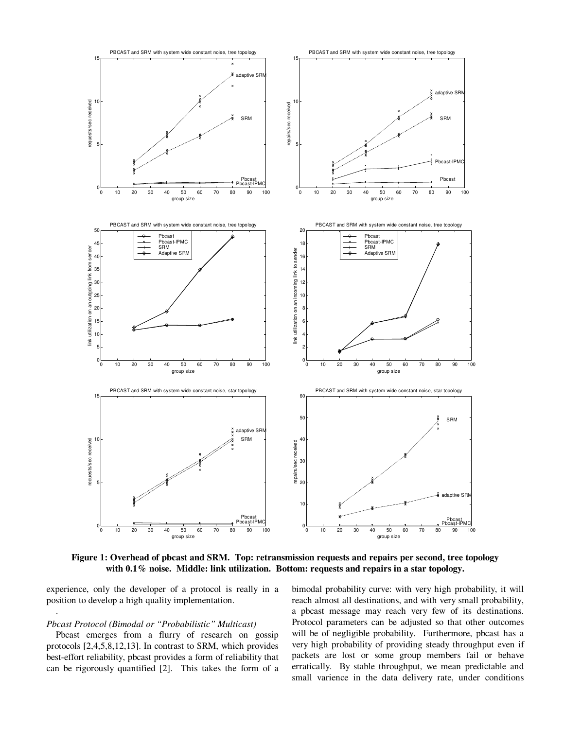

**Figure 1: Overhead of pbcast and SRM. Top: retransmission requests and repairs per second, tree topology with 0.1% noise. Middle: link utilization. Bottom: requests and repairs in a star topology.**

experience, only the developer of a protocol is really in a position to develop a high quality implementation.

#### *Pbcast Protocol (Bimodal or "Probabilistic" Multicast)*

.

Pbcast emerges from a flurry of research on gossip protocols [2,4,5,8,12,13]. In contrast to SRM, which provides best-effort reliability, pbcast provides a form of reliability that can be rigorously quantified [2]. This takes the form of a bimodal probability curve: with very high probability, it will reach almost all destinations, and with very small probability, a pbcast message may reach very few of its destinations. Protocol parameters can be adjusted so that other outcomes will be of negligible probability. Furthermore, pbcast has a very high probability of providing steady throughput even if packets are lost or some group members fail or behave erratically. By stable throughput, we mean predictable and small varience in the data delivery rate, under conditions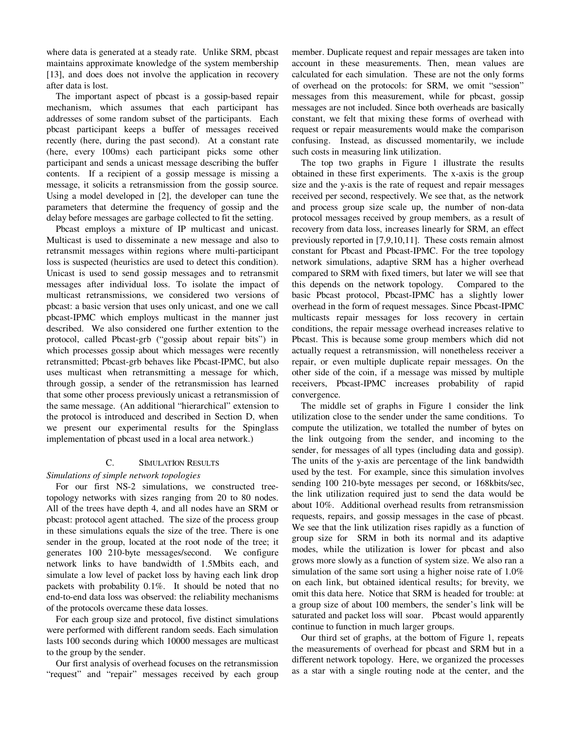where data is generated at a steady rate. Unlike SRM, pbcast maintains approximate knowledge of the system membership [13], and does does not involve the application in recovery after data is lost.

The important aspect of pbcast is a gossip-based repair mechanism, which assumes that each participant has addresses of some random subset of the participants. Each pbcast participant keeps a buffer of messages received recently (here, during the past second). At a constant rate (here, every 100ms) each participant picks some other participant and sends a unicast message describing the buffer contents. If a recipient of a gossip message is missing a message, it solicits a retransmission from the gossip source. Using a model developed in [2], the developer can tune the parameters that determine the frequency of gossip and the delay before messages are garbage collected to fit the setting.

Pbcast employs a mixture of IP multicast and unicast. Multicast is used to disseminate a new message and also to retransmit messages within regions where multi-participant loss is suspected (heuristics are used to detect this condition). Unicast is used to send gossip messages and to retransmit messages after individual loss. To isolate the impact of multicast retransmissions, we considered two versions of pbcast: a basic version that uses only unicast, and one we call pbcast-IPMC which employs multicast in the manner just described. We also considered one further extention to the protocol, called Pbcast-grb ("gossip about repair bits") in which processes gossip about which messages were recently retransmitted; Pbcast-grb behaves like Pbcast-IPMC, but also uses multicast when retransmitting a message for which, through gossip, a sender of the retransmission has learned that some other process previously unicast a retransmission of the same message. (An additional "hierarchical" extension to the protocol is introduced and described in Section D, when we present our experimental results for the Spinglass implementation of pbcast used in a local area network.)

# C. SIMULATION RESULTS

## *Simulations of simple network topologies*

For our first NS-2 simulations, we constructed treetopology networks with sizes ranging from 20 to 80 nodes. All of the trees have depth 4, and all nodes have an SRM or pbcast: protocol agent attached. The size of the process group in these simulations equals the size of the tree. There is one sender in the group, located at the root node of the tree; it generates 100 210-byte messages/second. We configure network links to have bandwidth of 1.5Mbits each, and simulate a low level of packet loss by having each link drop packets with probability 0.1%. It should be noted that no end-to-end data loss was observed: the reliability mechanisms of the protocols overcame these data losses.

For each group size and protocol, five distinct simulations were performed with different random seeds. Each simulation lasts 100 seconds during which 10000 messages are multicast to the group by the sender.

Our first analysis of overhead focuses on the retransmission "request" and "repair" messages received by each group member. Duplicate request and repair messages are taken into account in these measurements. Then, mean values are calculated for each simulation. These are not the only forms of overhead on the protocols: for SRM, we omit "session" messages from this measurement, while for pbcast, gossip messages are not included. Since both overheads are basically constant, we felt that mixing these forms of overhead with request or repair measurements would make the comparison confusing. Instead, as discussed momentarily, we include such costs in measuring link utilization.

The top two graphs in Figure 1 illustrate the results obtained in these first experiments. The x-axis is the group size and the y-axis is the rate of request and repair messages received per second, respectively. We see that, as the network and process group size scale up, the number of non-data protocol messages received by group members, as a result of recovery from data loss, increases linearly for SRM, an effect previously reported in [7,9,10,11]. These costs remain almost constant for Pbcast and Pbcast-IPMC. For the tree topology network simulations, adaptive SRM has a higher overhead compared to SRM with fixed timers, but later we will see that this depends on the network topology. Compared to the basic Pbcast protocol, Pbcast-IPMC has a slightly lower overhead in the form of request messages. Since Pbcast-IPMC multicasts repair messages for loss recovery in certain conditions, the repair message overhead increases relative to Pbcast. This is because some group members which did not actually request a retransmission, will nonetheless receiver a repair, or even multiple duplicate repair messages. On the other side of the coin, if a message was missed by multiple receivers, Pbcast-IPMC increases probability of rapid convergence.

The middle set of graphs in Figure 1 consider the link utilization close to the sender under the same conditions. To compute the utilization, we totalled the number of bytes on the link outgoing from the sender, and incoming to the sender, for messages of all types (including data and gossip). The units of the y-axis are percentage of the link bandwidth used by the test. For example, since this simulation involves sending 100 210-byte messages per second, or 168kbits/sec, the link utilization required just to send the data would be about 10%. Additional overhead results from retransmission requests, repairs, and gossip messages in the case of pbcast. We see that the link utilization rises rapidly as a function of group size for SRM in both its normal and its adaptive modes, while the utilization is lower for pbcast and also grows more slowly as a function of system size. We also ran a simulation of the same sort using a higher noise rate of  $1.0\%$ on each link, but obtained identical results; for brevity, we omit this data here. Notice that SRM is headed for trouble: at a group size of about 100 members, the sender's link will be saturated and packet loss will soar. Pbcast would apparently continue to function in much larger groups.

Our third set of graphs, at the bottom of Figure 1, repeats the measurements of overhead for pbcast and SRM but in a different network topology. Here, we organized the processes as a star with a single routing node at the center, and the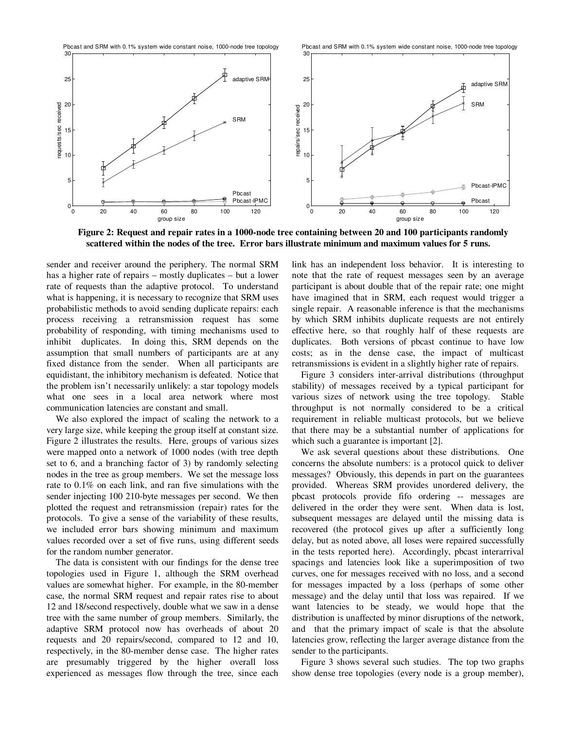Pbcast and SRM with 0.1% system wide constant noise, 1000-node tree topology

Pbcast and SRM with 0.1% system wide constant noise, 1000-node tree topology



Figure 2: Request and repair rates in a 1000-node tree containing between 20 and 100 participants randomly **scattered within the nodes of the tree. Error bars illustrate minimum and maximum values for 5 runs.**

sender and receiver around the periphery. The normal SRM has a higher rate of repairs – mostly duplicates – but a lower rate of requests than the adaptive protocol. To understand what is happening, it is necessary to recognize that SRM uses probabilistic methods to avoid sending duplicate repairs: each process receiving a retransmission request has some probability of responding, with timing mechanisms used to inhibit duplicates. In doing this, SRM depends on the assumption that small numbers of participants are at any fixed distance from the sender. When all participants are equidistant, the inhibitory mechanism is defeated. Notice that the problem isn't necessarily unlikely: a star topology models what one sees in a local area network where most communication latencies are constant and small.

We also explored the impact of scaling the network to a very large size, while keeping the group itself at constant size. Figure 2 illustrates the results. Here, groups of various sizes were mapped onto a network of 1000 nodes (with tree depth set to 6, and a branching factor of 3) by randomly selecting nodes in the tree as group members. We set the message loss rate to 0.1% on each link, and ran five simulations with the sender injecting 100 210-byte messages per second. We then plotted the request and retransmission (repair) rates for the protocols. To give a sense of the variability of these results, we included error bars showing minimum and maximum values recorded over a set of five runs, using different seeds for the random number generator.

The data is consistent with our findings for the dense tree topologies used in Figure 1, although the SRM overhead values are somewhat higher. For example, in the 80-member case, the normal SRM request and repair rates rise to about 12 and 18/second respectively, double what we saw in a dense tree with the same number of group members. Similarly, the adaptive SRM protocol now has overheads of about 20 requests and 20 repairs/second, compared to 12 and 10, respectively, in the 80-member dense case. The higher rates are presumably triggered by the higher overall loss experienced as messages flow through the tree, since each link has an independent loss behavior. It is interesting to note that the rate of request messages seen by an average participant is about double that of the repair rate; one might have imagined that in SRM, each request would trigger a single repair. A reasonable inference is that the mechanisms by which SRM inhibits duplicate requests are not entirely effective here, so that roughly half of these requests are duplicates. Both versions of pbcast continue to have low costs; as in the dense case, the impact of multicast retransmissions is evident in a slightly higher rate of repairs.

Figure 3 considers inter-arrival distributions (throughput stability) of messages received by a typical participant for various sizes of network using the tree topology. Stable throughput is not normally considered to be a critical requirement in reliable multicast protocols, but we believe that there may be a substantial number of applications for which such a guarantee is important [2].

We ask several questions about these distributions. One concerns the absolute numbers: is a protocol quick to deliver messages? Obviously, this depends in part on the guarantees provided. Whereas SRM provides unordered delivery, the pbcast protocols provide fifo ordering -- messages are delivered in the order they were sent. When data is lost, subsequent messages are delayed until the missing data is recovered (the protocol gives up after a sufficiently long delay, but as noted above, all loses were repaired successfully in the tests reported here). Accordingly, pbcast interarrival spacings and latencies look like a superimposition of two curves, one for messages received with no loss, and a second for messages impacted by a loss (perhaps of some other message) and the delay until that loss was repaired. If we want latencies to be steady, we would hope that the distribution is unaffected by minor disruptions of the network, and that the primary impact of scale is that the absolute latencies grow, reflecting the larger average distance from the sender to the participants.

Figure 3 shows several such studies. The top two graphs show dense tree topologies (every node is a group member),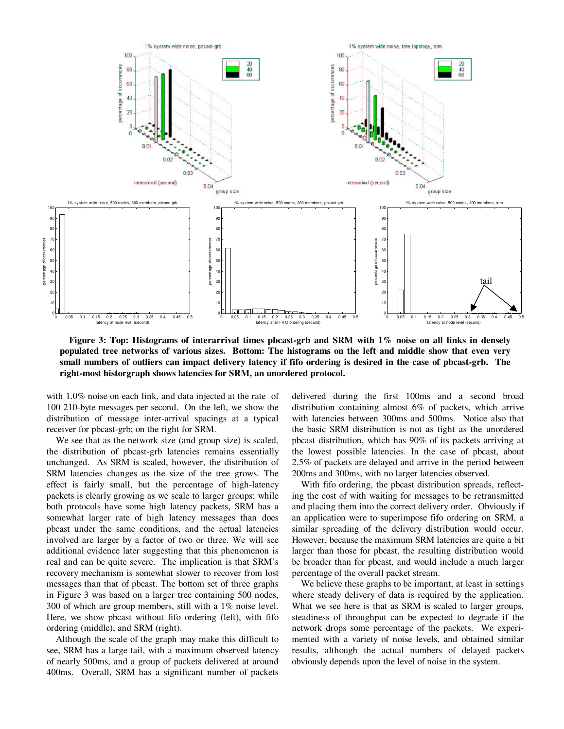

Figure 3: Top: Histograms of interarrival times pbcast-grb and SRM with 1% noise on all links in densely populated tree networks of various sizes. Bottom: The histograms on the left and middle show that even very small numbers of outliers can impact delivery latency if fifo ordering is desired in the case of pbcast-grb. The **right-most historgraph shows latencies for SRM, an unordered protocol.**

with 1.0% noise on each link, and data injected at the rate of 100 210-byte messages per second. On the left, we show the distribution of message inter-arrival spacings at a typical receiver for pbcast-grb; on the right for SRM.

We see that as the network size (and group size) is scaled, the distribution of pbcast-grb latencies remains essentially unchanged. As SRM is scaled, however, the distribution of SRM latencies changes as the size of the tree grows. The effect is fairly small, but the percentage of high-latency packets is clearly growing as we scale to larger groups: while both protocols have some high latency packets, SRM has a somewhat larger rate of high latency messages than does pbcast under the same conditions, and the actual latencies involved are larger by a factor of two or three. We will see additional evidence later suggesting that this phenomenon is real and can be quite severe. The implication is that SRM's recovery mechanism is somewhat slower to recover from lost messages than that of pbcast. The bottom set of three graphs in Figure 3 was based on a larger tree containing 500 nodes, 300 of which are group members, still with a 1% noise level. Here, we show pbcast without fifo ordering (left), with fifo ordering (middle), and SRM (right).

Although the scale of the graph may make this difficult to see, SRM has a large tail, with a maximum observed latency of nearly 500ms, and a group of packets delivered at around 400ms. Overall, SRM has a significant number of packets

delivered during the first 100ms and a second broad distribution containing almost 6% of packets, which arrive with latencies between 300ms and 500ms. Notice also that the basic SRM distribution is not as tight as the unordered pbcast distribution, which has 90% of its packets arriving at the lowest possible latencies. In the case of pbcast, about 2.5% of packets are delayed and arrive in the period between 200ms and 300ms, with no larger latencies observed.

With fifo ordering, the pbcast distribution spreads, reflecting the cost of with waiting for messages to be retransmitted and placing them into the correct delivery order. Obviously if an application were to superimpose fifo ordering on SRM, a similar spreading of the delivery distribution would occur. However, because the maximum SRM latencies are quite a bit larger than those for pbcast, the resulting distribution would be broader than for pbcast, and would include a much larger percentage of the overall packet stream.

We believe these graphs to be important, at least in settings where steady delivery of data is required by the application. What we see here is that as SRM is scaled to larger groups, steadiness of throughput can be expected to degrade if the network drops some percentage of the packets. We experimented with a variety of noise levels, and obtained similar results, although the actual numbers of delayed packets obviously depends upon the level of noise in the system.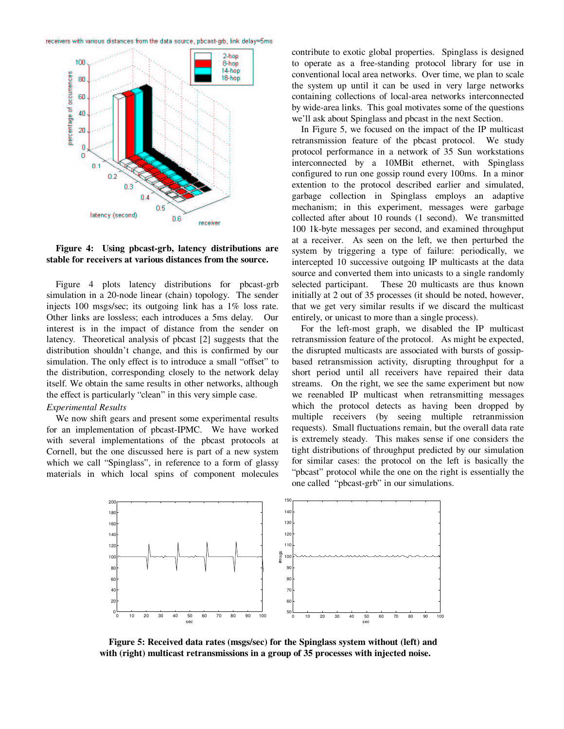receivers with various distances from the data source, pbcast-grb, link delay=5ms





Figure 4 plots latency distributions for pbcast-grb simulation in a 20-node linear (chain) topology. The sender injects 100 msgs/sec; its outgoing link has a 1% loss rate. Other links are lossless; each introduces a 5ms delay. Our interest is in the impact of distance from the sender on latency. Theoretical analysis of pbcast [2] suggests that the distribution shouldn't change, and this is confirmed by our simulation. The only effect is to introduce a small "offset" to the distribution, corresponding closely to the network delay itself. We obtain the same results in other networks, although the effect is particularly "clean" in this very simple case.

#### *Experimental Results*

We now shift gears and present some experimental results for an implementation of pbcast-IPMC. We have worked with several implementations of the pbcast protocols at Cornell, but the one discussed here is part of a new system which we call "Spinglass", in reference to a form of glassy materials in which local spins of component molecules contribute to exotic global properties. Spinglass is designed to operate as a free-standing protocol library for use in conventional local area networks. Over time, we plan to scale the system up until it can be used in very large networks containing collections of local-area networks interconnected by wide-area links. This goal motivates some of the questions we'll ask about Spinglass and pbcast in the next Section.

In Figure 5, we focused on the impact of the IP multicast retransmission feature of the pbcast protocol. We study protocol performance in a network of 35 Sun workstations interconnected by a 10MBit ethernet, with Spinglass configured to run one gossip round every 100ms. In a minor extention to the protocol described earlier and simulated, garbage collection in Spinglass employs an adaptive mechanism; in this experiment, messages were garbage collected after about 10 rounds (1 second). We transmitted 100 1k-byte messages per second, and examined throughput at a receiver. As seen on the left, we then perturbed the system by triggering a type of failure: periodically, we intercepted 10 successive outgoing IP multicasts at the data source and converted them into unicasts to a single randomly selected participant. These 20 multicasts are thus known initially at 2 out of 35 processes (it should be noted, however, that we get very similar results if we discard the multicast entirely, or unicast to more than a single process).

For the left-most graph, we disabled the IP multicast retransmission feature of the protocol. As might be expected, the disrupted multicasts are associated with bursts of gossipbased retransmission activity, disrupting throughput for a short period until all receivers have repaired their data streams. On the right, we see the same experiment but now we reenabled IP multicast when retransmitting messages which the protocol detects as having been dropped by multiple receivers (by seeing multiple retranmission requests). Small fluctuations remain, but the overall data rate is extremely steady. This makes sense if one considers the tight distributions of throughput predicted by our simulation for similar cases: the protocol on the left is basically the "pbcast" protocol while the one on the right is essentially the one called "pbcast-grb" in our simulations.



**Figure 5: Received data rates (msgs/sec) for the Spinglass system without (left) and with (right) multicast retransmissions in a group of 35 processes with injected noise.**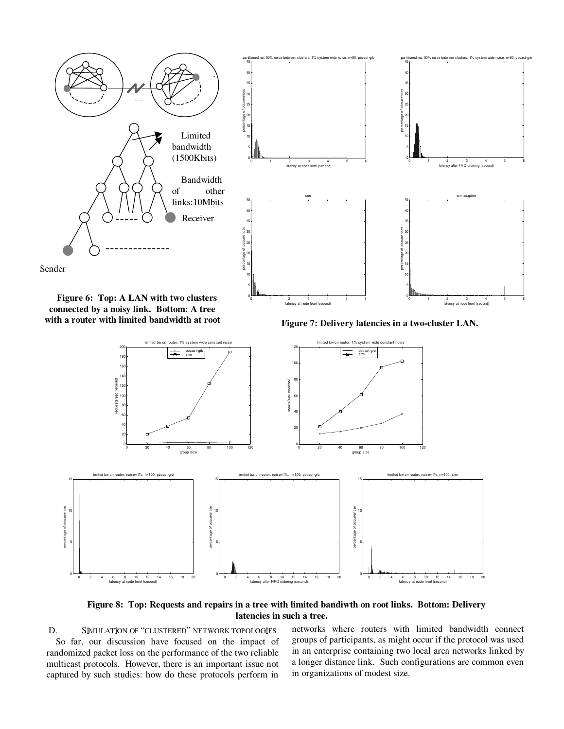



**Figure 6: Top: A LAN with two clusters connected by a noisy link. Bottom: A tree with a router with limited bandwidth at root**





**Figure 8: Top: Requests and repairs in a tree with limited bandiwth on root links. Bottom: Delivery latencies in such a tree.**

D. SIMULATION OF "CLUSTERED" NETWORK TOPOLOGIE So far, our discussion have focused on the impact of randomized packet loss on the performance of the two reliable multicast protocols. However, there is an important issue not captured by such studies: how do these protocols perform in

s networks where routers with limited bandwidth connect groups of participants, as might occur if the protocol was used in an enterprise containing two local area networks linked by a longer distance link. Such configurations are common even in organizations of modest size.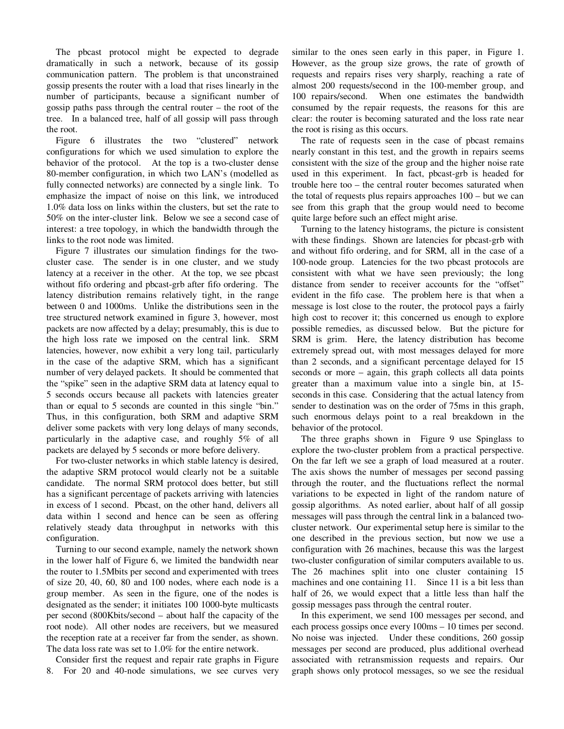The pbcast protocol might be expected to degrade dramatically in such a network, because of its gossip communication pattern. The problem is that unconstrained gossip presents the router with a load that rises linearly in the number of participants, because a significant number of gossip paths pass through the central router – the root of the tree. In a balanced tree, half of all gossip will pass through the root.

Figure 6 illustrates the two "clustered" network configurations for which we used simulation to explore the behavior of the protocol. At the top is a two-cluster dense 80-member configuration, in which two LAN's (modelled as fully connected networks) are connected by a single link. To emphasize the impact of noise on this link, we introduced 1.0% data loss on links within the clusters, but set the rate to 50% on the inter-cluster link. Below we see a second case of interest: a tree topology, in which the bandwidth through the links to the root node was limited.

Figure 7 illustrates our simulation findings for the twocluster case. The sender is in one cluster, and we study latency at a receiver in the other. At the top, we see pbcast without fifo ordering and pbcast-grb after fifo ordering. The latency distribution remains relatively tight, in the range between 0 and 1000ms. Unlike the distributions seen in the tree structured network examined in figure 3, however, most packets are now affected by a delay; presumably, this is due to the high loss rate we imposed on the central link. SRM latencies, however, now exhibit a very long tail, particularly in the case of the adaptive SRM, which has a significant number of very delayed packets. It should be commented that the "spike" seen in the adaptive SRM data at latency equal to 5 seconds occurs because all packets with latencies greater than or equal to 5 seconds are counted in this single "bin." Thus, in this configuration, both SRM and adaptive SRM deliver some packets with very long delays of many seconds, particularly in the adaptive case, and roughly 5% of all packets are delayed by 5 seconds or more before delivery.

For two-cluster networks in which stable latency is desired, the adaptive SRM protocol would clearly not be a suitable candidate. The normal SRM protocol does better, but still has a significant percentage of packets arriving with latencies in excess of 1 second. Pbcast, on the other hand, delivers all data within 1 second and hence can be seen as offering relatively steady data throughput in networks with this configuration.

Turning to our second example, namely the network shown in the lower half of Figure 6, we limited the bandwidth near the router to 1.5Mbits per second and experimented with trees of size 20, 40, 60, 80 and 100 nodes, where each node is a group member. As seen in the figure, one of the nodes is designated as the sender; it initiates 100 1000-byte multicasts per second (800Kbits/second – about half the capacity of the root node). All other nodes are receivers, but we measured the reception rate at a receiver far from the sender, as shown. The data loss rate was set to 1.0% for the entire network.

Consider first the request and repair rate graphs in Figure 8. For 20 and 40-node simulations, we see curves very

similar to the ones seen early in this paper, in Figure 1. However, as the group size grows, the rate of growth of requests and repairs rises very sharply, reaching a rate of almost 200 requests/second in the 100-member group, and 100 repairs/second. When one estimates the bandwidth consumed by the repair requests, the reasons for this are clear: the router is becoming saturated and the loss rate near the root is rising as this occurs.

The rate of requests seen in the case of pbcast remains nearly constant in this test, and the growth in repairs seems consistent with the size of the group and the higher noise rate used in this experiment. In fact, pbcast-grb is headed for trouble here too – the central router becomes saturated when the total of requests plus repairs approaches 100 – but we can see from this graph that the group would need to become quite large before such an effect might arise.

Turning to the latency histograms, the picture is consistent with these findings. Shown are latencies for pbcast-grb with and without fifo ordering, and for SRM, all in the case of a 100-node group. Latencies for the two pbcast protocols are consistent with what we have seen previously; the long distance from sender to receiver accounts for the "offset" evident in the fifo case. The problem here is that when a message is lost close to the router, the protocol pays a fairly high cost to recover it; this concerned us enough to explore possible remedies, as discussed below. But the picture for SRM is grim. Here, the latency distribution has become extremely spread out, with most messages delayed for more than 2 seconds, and a significant percentage delayed for 15 seconds or more – again, this graph collects all data points greater than a maximum value into a single bin, at 15 seconds in this case. Considering that the actual latency from sender to destination was on the order of 75ms in this graph, such enormous delays point to a real breakdown in the behavior of the protocol.

The three graphs shown in Figure 9 use Spinglass to explore the two-cluster problem from a practical perspective. On the far left we see a graph of load measured at a router. The axis shows the number of messages per second passing through the router, and the fluctuations reflect the normal variations to be expected in light of the random nature of gossip algorithms. As noted earlier, about half of all gossip messages will pass through the central link in a balanced twocluster network. Our experimental setup here is similar to the one described in the previous section, but now we use a configuration with 26 machines, because this was the largest two-cluster configuration of similar computers available to us. The 26 machines split into one cluster containing 15 machines and one containing 11. Since 11 is a bit less than half of 26, we would expect that a little less than half the gossip messages pass through the central router.

In this experiment, we send 100 messages per second, and each process gossips once every 100ms – 10 times per second. No noise was injected. Under these conditions, 260 gossip messages per second are produced, plus additional overhead associated with retransmission requests and repairs. Our graph shows only protocol messages, so we see the residual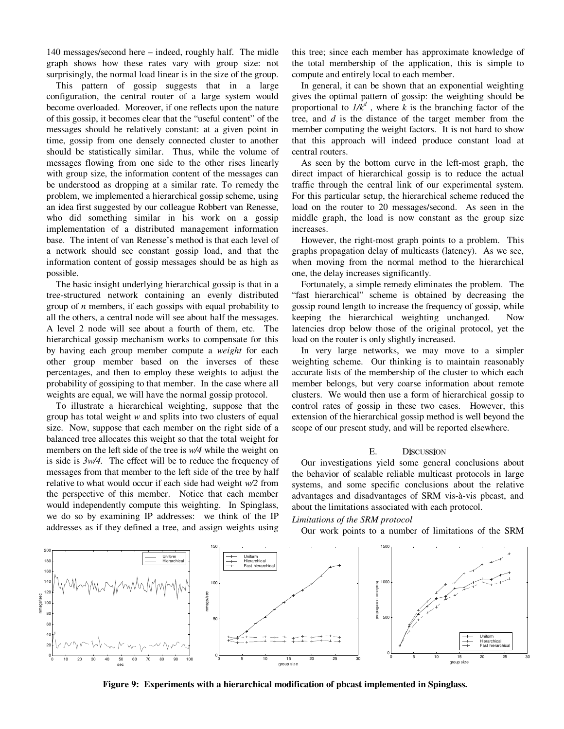140 messages/second here – indeed, roughly half. The midle graph shows how these rates vary with group size: not surprisingly, the normal load linear is in the size of the group.

This pattern of gossip suggests that in a large configuration, the central router of a large system would become overloaded. Moreover, if one reflects upon the nature of this gossip, it becomes clear that the " useful content" of the messages should be relatively constant: at a given point in time, gossip from one densely connected cluster to another should be statistically similar. Thus, while the volume of messages flowing from one side to the other rises linearly with group size, the information content of the messages can be understood as dropping at a similar rate. To remedy the problem, we implemented a hierarchical gossip scheme, using an idea first suggested by our colleague Robbert van Renesse, who did something similar in his work on a gossip implementation of a distributed management information base. The intent of van Renesse's method is that each level of a network should see constant gossip load, and that the information content of gossip messages should be as high as possible.

The basic insight underlying hierarchical gossip is that in a tree-structured network containing an evenly distributed group of *n* members, if each gossips with equal probability to all the others, a central node will see about half the messages. A level 2 node will see about a fourth of them, etc. The hierarchical gossip mechanism works to compensate for this by having each group member compute a *weight* for each other group member based on the inverses of these percentages, and then to employ these weights to adjust the probability of gossiping to that member. In the case where all weights are equal, we will have the normal gossip protocol.

To illustrate a hierarchical weighting, suppose that the group has total weight *w* and splits into two clusters of equal size. Now, suppose that each member on the right side of a balanced tree allocates this weight so that the total weight for members on the left side of the tree is *w/4* while the weight on is side is *3w/4.* The effect will be to reduce the frequency of messages from that member to the left side of the tree by half relative to what would occur if each side had weight *w/2* from the perspective of this member. Notice that each member would independently compute this weighting. In Spinglass, we do so by examining IP addresses: we think of the IP addresses as if they defined a tree, and assign weights using this tree; since each member has approximate knowledge of the total membership of the application, this is simple to compute and entirely local to each member.

In general, it can be shown that an exponential weighting gives the optimal pattern of gossip: the weighting should be proportional to  $1/k^d$ , where *k* is the branching factor of the tree, and *d* is the distance of the target member from the member computing the weight factors. It is not hard to show that this approach will indeed produce constant load at central routers.

As seen by the bottom curve in the left-most graph, the direct impact of hierarchical gossip is to reduce the actual traffic through the central link of our experimental system. For this particular setup, the hierarchical scheme reduced the load on the router to 20 messages/second. As seen in the middle graph, the load is now constant as the group size increases.

However, the right-most graph points to a problem. This graphs propagation delay of multicasts (latency). As we see, when moving from the normal method to the hierarchical one, the delay increases significantly.

Fortunately, a simple remedy eliminates the problem. The "fast hierarchical" scheme is obtained by decreasing the gossip round length to increase the frequency of gossip, while keeping the hierarchical weighting unchanged. Now latencies drop below those of the original protocol, yet the load on the router is only slightly increased.

In very large networks, we may move to a simpler weighting scheme. Our thinking is to maintain reasonably accurate lists of the membership of the cluster to which each member belongs, but very coarse information about remote clusters. We would then use a form of hierarchical gossip to control rates of gossip in these two cases. However, this extension of the hierarchical gossip method is well beyond the scope of our present study, and will be reported elsewhere.

### E. Discussion

Our investigations yield some general conclusions about the behavior of scalable reliable multicast protocols in large systems, and some specific conclusions about the relative advantages and disadvantages of SRM vis-à-vis pbcast, and about the limitations associated with each protocol.

#### *Limitations of the SRM protocol*

Our work points to a number of limitations of the SRM



**Figure 9: Experiments with a hierarchical modification of pbcast implemented in Spinglass.**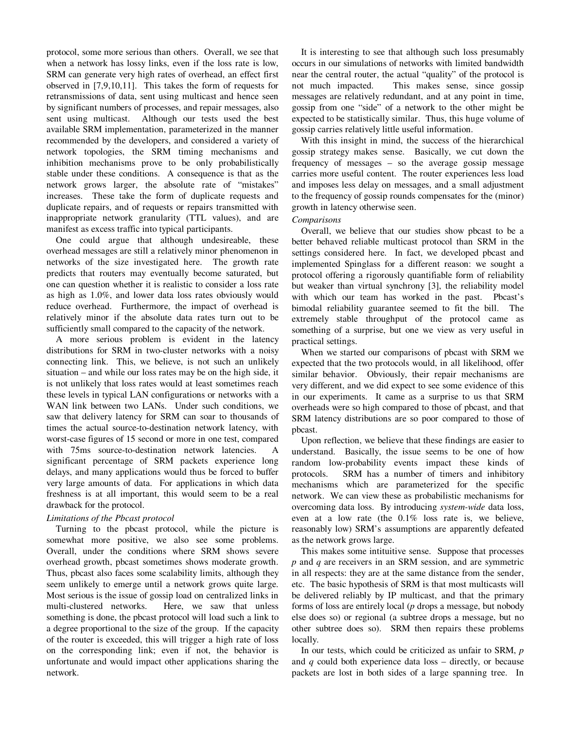protocol, some more serious than others. Overall, we see that when a network has lossy links, even if the loss rate is low, SRM can generate very high rates of overhead, an effect first observed in [7,9,10,11]. This takes the form of requests for retransmissions of data, sent using multicast and hence seen by significant numbers of processes, and repair messages, also sent using multicast. Although our tests used the best available SRM implementation, parameterized in the manner recommended by the developers, and considered a variety of network topologies, the SRM timing mechanisms and inhibition mechanisms prove to be only probabilistically stable under these conditions. A consequence is that as the network grows larger, the absolute rate of "mistakes" increases. These take the form of duplicate requests and duplicate repairs, and of requests or repairs transmitted with inappropriate network granularity (TTL values), and are manifest as excess traffic into typical participants.

One could argue that although undesireable, these overhead messages are still a relatively minor phenomenon in networks of the size investigated here. The growth rate predicts that routers may eventually become saturated, but one can question whether it is realistic to consider a loss rate as high as 1.0%, and lower data loss rates obviously would reduce overhead. Furthermore, the impact of overhead is relatively minor if the absolute data rates turn out to be sufficiently small compared to the capacity of the network.

A more serious problem is evident in the latency distributions for SRM in two-cluster networks with a noisy connecting link. This, we believe, is not such an unlikely situation – and while our loss rates may be on the high side, it is not unlikely that loss rates would at least sometimes reach these levels in typical LAN configurations or networks with a WAN link between two LANs. Under such conditions, we saw that delivery latency for SRM can soar to thousands of times the actual source-to-destination network latency, with worst-case figures of 15 second or more in one test, compared with 75ms source-to-destination network latencies. A significant percentage of SRM packets experience long delays, and many applications would thus be forced to buffer very large amounts of data. For applications in which data freshness is at all important, this would seem to be a real drawback for the protocol.

#### *Limitations of the Pbcast protocol*

Turning to the pbcast protocol, while the picture is somewhat more positive, we also see some problems. Overall, under the conditions where SRM shows severe overhead growth, pbcast sometimes shows moderate growth. Thus, pbcast also faces some scalability limits, although they seem unlikely to emerge until a network grows quite large. Most serious is the issue of gossip load on centralized links in multi-clustered networks. Here, we saw that unless something is done, the pbcast protocol will load such a link to a degree proportional to the size of the group. If the capacity of the router is exceeded, this will trigger a high rate of loss on the corresponding link; even if not, the behavior is unfortunate and would impact other applications sharing the network.

It is interesting to see that although such loss presumably occurs in our simulations of networks with limited bandwidth near the central router, the actual "quality" of the protocol is not much impacted. This makes sense, since gossip messages are relatively redundant, and at any point in time, gossip from one "side" of a network to the other might be expected to be statistically similar. Thus, this huge volume of gossip carries relatively little useful information.

With this insight in mind, the success of the hierarchical gossip strategy makes sense. Basically, we cut down the frequency of messages – so the average gossip message carries more useful content. The router experiences less load and imposes less delay on messages, and a small adjustment to the frequency of gossip rounds compensates for the (minor) growth in latency otherwise seen.

#### *Comparisons*

Overall, we believe that our studies show pbcast to be a better behaved reliable multicast protocol than SRM in the settings considered here. In fact, we developed pbcast and implemented Spinglass for a different reason: we sought a protocol offering a rigorously quantifiable form of reliability but weaker than virtual synchrony [3], the reliability model with which our team has worked in the past. Pbcast's bimodal reliability guarantee seemed to fit the bill. The extremely stable throughput of the protocol came as something of a surprise, but one we view as very useful in practical settings.

When we started our comparisons of pbcast with SRM we expected that the two protocols would, in all likelihood, offer similar behavior. Obviously, their repair mechanisms are very different, and we did expect to see some evidence of this in our experiments. It came as a surprise to us that SRM overheads were so high compared to those of pbcast, and that SRM latency distributions are so poor compared to those of pbcast.

Upon reflection, we believe that these findings are easier to understand. Basically, the issue seems to be one of how random low-probability events impact these kinds of protocols. SRM has a number of timers and inhibitory mechanisms which are parameterized for the specific network. We can view these as probabilistic mechanisms for overcoming data loss. By introducing *system-wide* data loss, even at a low rate (the 0.1% loss rate is, we believe, reasonably low) SRM's assumptions are apparently defeated as the network grows large.

This makes some intituitive sense. Suppose that processes *p* and *q* are receivers in an SRM session, and are symmetric in all respects: they are at the same distance from the sender, etc. The basic hypothesis of SRM is that most multicasts will be delivered reliably by IP multicast, and that the primary forms of loss are entirely local (*p* drops a message, but nobody else does so) or regional (a subtree drops a message, but no other subtree does so). SRM then repairs these problems locally.

In our tests, which could be criticized as unfair to SRM, *p* and *q* could both experience data loss – directly, or because packets are lost in both sides of a large spanning tree. In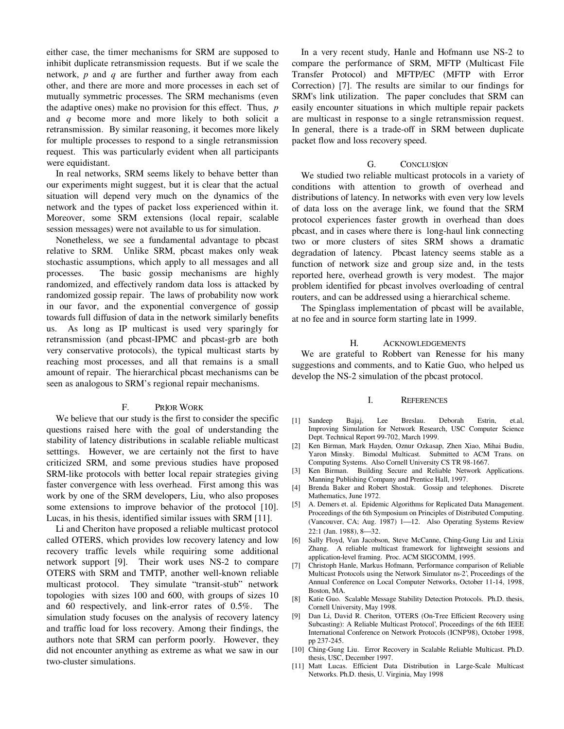either case, the timer mechanisms for SRM are supposed to inhibit duplicate retransmission requests. But if we scale the network, *p* and *q* are further and further away from each other, and there are more and more processes in each set of mutually symmetric processes. The SRM mechanisms (even the adaptive ones) make no provision for this effect. Thus, *p* and *q* become more and more likely to both solicit a retransmission. By similar reasoning, it becomes more likely for multiple processes to respond to a single retransmission request. This was particularly evident when all participants were equidistant.

In real networks, SRM seems likely to behave better than our experiments might suggest, but it is clear that the actual situation will depend very much on the dynamics of the network and the types of packet loss experienced within it. Moreover, some SRM extensions (local repair, scalable session messages) were not available to us for simulation.

Nonetheless, we see a fundamental advantage to pbcast relative to SRM. Unlike SRM, pbcast makes only weak stochastic assumptions, which apply to all messages and all processes. The basic gossip mechanisms are highly randomized, and effectively random data loss is attacked by randomized gossip repair. The laws of probability now work in our favor, and the exponential convergence of gossip towards full diffusion of data in the network similarly benefits us. As long as IP multicast is used very sparingly for retransmission (and pbcast-IPMC and pbcast-grb are both very conservative protocols), the typical multicast starts by reaching most processes, and all that remains is a small amount of repair. The hierarchical pbcast mechanisms can be seen as analogous to SRM's regional repair mechanisms.

#### F. PRIOR WORK

We believe that our study is the first to consider the specific questions raised here with the goal of understanding the stability of latency distributions in scalable reliable multicast setttings. However, we are certainly not the first to have criticized SRM, and some previous studies have proposed SRM-like protocols with better local repair strategies giving faster convergence with less overhead. First among this was work by one of the SRM developers, Liu, who also proposes some extensions to improve behavior of the protocol [10]. Lucas, in his thesis, identified similar issues with SRM [11].

Li and Cheriton have proposed a reliable multicast protocol called OTERS, which provides low recovery latency and low recovery traffic levels while requiring some additional network support [9]. Their work uses NS-2 to compare OTERS with SRM and TMTP, another well-known reliable multicast protocol. They simulate "transit-stub" network topologies with sizes 100 and 600, with groups of sizes 10 and 60 respectively, and link-error rates of 0.5%. The simulation study focuses on the analysis of recovery latency and traffic load for loss recovery. Among their findings, the authors note that SRM can perform poorly. However, they did not encounter anything as extreme as what we saw in our two-cluster simulations.

In a very recent study, Hanle and Hofmann use NS-2 to compare the performance of SRM, MFTP (Multicast File Transfer Protocol) and MFTP/EC (MFTP with Error Correction) [7]. The results are similar to our findings for SRM's link utilization. The paper concludes that SRM can easily encounter situations in which multiple repair packets are multicast in response to a single retransmission request. In general, there is a trade-off in SRM between duplicate packet flow and loss recovery speed.

#### G. CONCLUSION

We studied two reliable multicast protocols in a variety of conditions with attention to growth of overhead and distributions of latency. In networks with even very low levels of data loss on the average link, we found that the SRM protocol experiences faster growth in overhead than does pbcast, and in cases where there is long-haul link connecting two or more clusters of sites SRM shows a dramatic degradation of latency. Pbcast latency seems stable as a function of network size and group size and, in the tests reported here, overhead growth is very modest. The major problem identified for pbcast involves overloading of central routers, and can be addressed using a hierarchical scheme.

The Spinglass implementation of pbcast will be available, at no fee and in source form starting late in 1999.

### H. ACKNOWLEDGEMENTS

We are grateful to Robbert van Renesse for his many suggestions and comments, and to Katie Guo, who helped us develop the NS-2 simulation of the pbcast protocol.

#### I. REFERENCES

- [1] Sandeep Bajaj, Lee Breslau. Deborah Estrin, et.al, Improving Simulation for Network Research, USC Computer Science Dept. Technical Report 99-702, March 1999.
- [2] Ken Birman, Mark Hayden, Oznur Ozkasap, Zhen Xiao, Mihai Budiu, Yaron Minsky. Bimodal Multicast. Submitted to ACM Trans. on Computing Systems. Also Cornell University CS TR 98-1667.
- [3] Ken Birman. Building Secure and Reliable Network Applications. Manning Publishing Company and Prentice Hall, 1997.
- [4] Brenda Baker and Robert Shostak. Gossip and telephones. Discrete Mathematics, June 1972.
- [5] A. Demers et. al. Epidemic Algorithms for Replicated Data Management. Proceedings of the 6th Symposium on Principles of Distributed Computing. (Vancouver, CA; Aug. 1987) 1-12. Also Operating Systems Review 22:1 (Jan. 1988), 8-32.
- [6] Sally Floyd, Van Jacobson, Steve McCanne, Ching-Gung Liu and Lixia Zhang. A reliable multicast framework for lightweight sessions and application-level framing. Proc. ACM SIGCOMM, 1995.
- [7] Christoph Hanle, Markus Hofmann, 'Performance comparison of Reliable Multicast Protocols using the Network Simulator ns-2', Proceedings of the Annual Conference on Local Computer Networks, October 11-14, 1998, Boston, MA.
- [8] Katie Guo. Scalable Message Stability Detection Protocols. Ph.D. thesis, Cornell University, May 1998.
- [9] Dan Li, David R. Cheriton, 'OTERS (On-Tree Efficient Recovery using Subcasting): A Reliable Multicast Protocol', Proceedings of the 6th IEEE International Conference on Network Protocols (ICNP'98), October 1998, pp 237-245.
- [10] Ching-Gung Liu. Error Recovery in Scalable Reliable Multicast. Ph.D. thesis, USC, December 1997.
- [11] Matt Lucas. Efficient Data Distribution in Large-Scale Multicast Networks. Ph.D. thesis, U. Virginia, May 1998